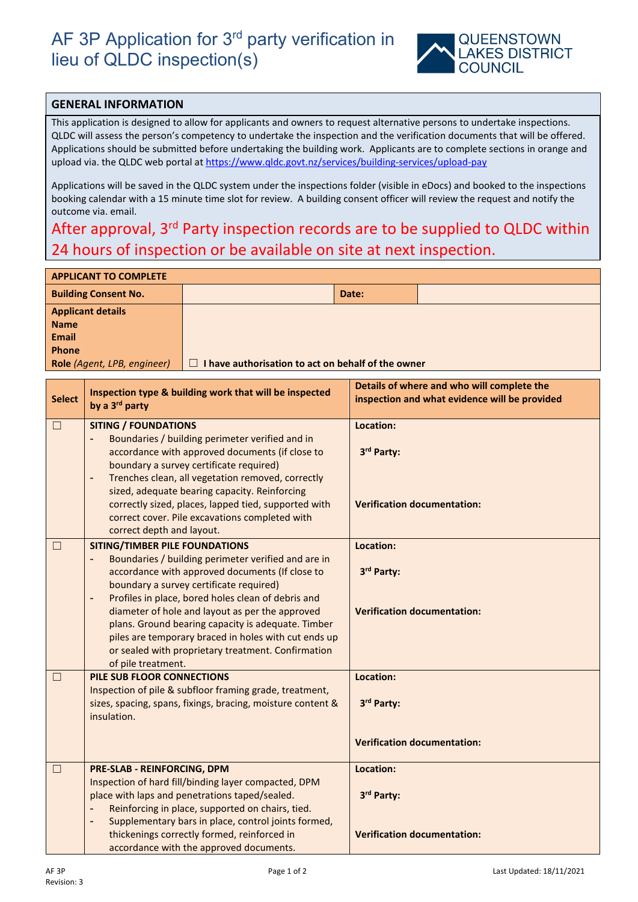## AF 3P Application for 3<sup>rd</sup> party verification in lieu of QLDC inspection(s)



## **GENERAL INFORMATION**

This application is designed to allow for applicants and owners to request alternative persons to undertake inspections. QLDC will assess the person's competency to undertake the inspection and the verification documents that will be offered. Applications should be submitted before undertaking the building work. Applicants are to complete sections in orange and upload via. the QLDC web portal at<https://www.qldc.govt.nz/services/building-services/upload-pay>

Applications will be saved in the QLDC system under the inspections folder (visible in eDocs) and booked to the inspections booking calendar with a 15 minute time slot for review. A building consent officer will review the request and notify the outcome via. email.

## After approval, 3<sup>rd</sup> Party inspection records are to be supplied to QLDC within 24 hours of inspection or be available on site at next inspection.

| <b>APPLICANT TO COMPLETE</b> |                                                  |       |  |  |  |
|------------------------------|--------------------------------------------------|-------|--|--|--|
| <b>Building Consent No.</b>  |                                                  | Date: |  |  |  |
| <b>Applicant details</b>     |                                                  |       |  |  |  |
| <b>Name</b>                  |                                                  |       |  |  |  |
| <b>Email</b>                 |                                                  |       |  |  |  |
| <b>Phone</b>                 |                                                  |       |  |  |  |
| Role (Agent, LPB, engineer)  | have authorisation to act on behalf of the owner |       |  |  |  |

| <b>Select</b> | Inspection type & building work that will be inspected<br>by a 3 <sup>rd</sup> party                                                                                                                                                                                                                                                                                                                                                                                                                            | Details of where and who will complete the<br>inspection and what evidence will be provided |
|---------------|-----------------------------------------------------------------------------------------------------------------------------------------------------------------------------------------------------------------------------------------------------------------------------------------------------------------------------------------------------------------------------------------------------------------------------------------------------------------------------------------------------------------|---------------------------------------------------------------------------------------------|
| $\Box$        | <b>SITING / FOUNDATIONS</b><br>Boundaries / building perimeter verified and in<br>accordance with approved documents (if close to<br>boundary a survey certificate required)<br>Trenches clean, all vegetation removed, correctly<br>$\blacksquare$<br>sized, adequate bearing capacity. Reinforcing<br>correctly sized, places, lapped tied, supported with<br>correct cover. Pile excavations completed with<br>correct depth and layout.                                                                     | Location:<br>3rd Party:<br><b>Verification documentation:</b>                               |
| $\Box$        | <b>SITING/TIMBER PILE FOUNDATIONS</b><br>Boundaries / building perimeter verified and are in<br>accordance with approved documents (If close to<br>boundary a survey certificate required)<br>Profiles in place, bored holes clean of debris and<br>$\blacksquare$<br>diameter of hole and layout as per the approved<br>plans. Ground bearing capacity is adequate. Timber<br>piles are temporary braced in holes with cut ends up<br>or sealed with proprietary treatment. Confirmation<br>of pile treatment. | Location:<br>3rd Party:<br><b>Verification documentation:</b>                               |
| $\Box$        | PILE SUB FLOOR CONNECTIONS<br>Inspection of pile & subfloor framing grade, treatment,<br>sizes, spacing, spans, fixings, bracing, moisture content &<br>insulation.                                                                                                                                                                                                                                                                                                                                             | Location:<br>3rd Party:<br><b>Verification documentation:</b>                               |
| $\Box$        | PRE-SLAB - REINFORCING, DPM<br>Inspection of hard fill/binding layer compacted, DPM<br>place with laps and penetrations taped/sealed.<br>Reinforcing in place, supported on chairs, tied.<br>$\blacksquare$<br>Supplementary bars in place, control joints formed,<br>$\qquad \qquad \blacksquare$                                                                                                                                                                                                              | Location:<br>3rd Party:                                                                     |
|               | thickenings correctly formed, reinforced in<br>accordance with the approved documents.                                                                                                                                                                                                                                                                                                                                                                                                                          | <b>Verification documentation:</b>                                                          |